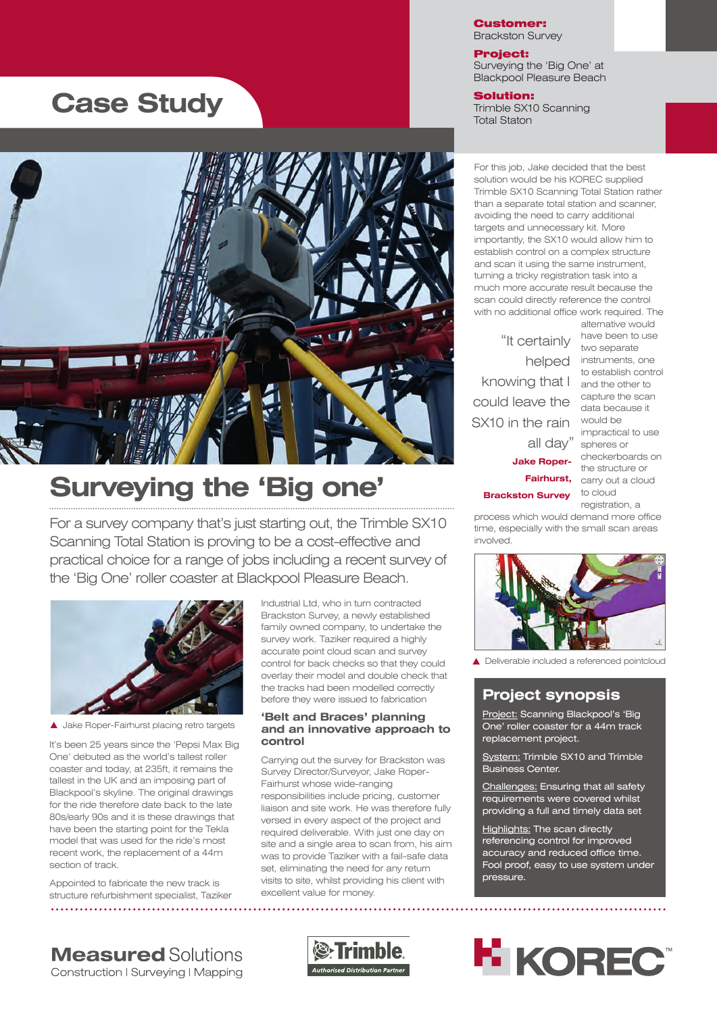# **Case Study**



# **Surveying the 'Big one'**

For a survey company that's just starting out, the Trimble SX10 Scanning Total Station is proving to be a cost-effective and practical choice for a range of jobs including a recent survey of the 'Big One' roller coaster at Blackpool Pleasure Beach.



A Jake Roper-Fairhurst placing retro targets

It's been 25 years since the 'Pepsi Max Big One' debuted as the world's tallest roller coaster and today, at 235ft, it remains the tallest in the UK and an imposing part of Blackpool's skyline. The original drawings for the ride therefore date back to the late 80s/early 90s and it is these drawings that have been the starting point for the Tekla model that was used for the ride's most recent work, the replacement of a 44m section of track.

Appointed to fabricate the new track is structure refurbishment specialist, Taziker  Industrial Ltd, who in turn contracted Brackston Survey, a newly established family owned company, to undertake the survey work. Taziker required a highly accurate point cloud scan and survey control for back checks so that they could overlay their model and double check that the tracks had been modelled correctly before they were issued to fabrication

### **'Belt and Braces' planning and an innovative approach to control**

Carrying out the survey for Brackston was Survey Director/Surveyor, Jake Roper-Fairhurst whose wide-ranging responsibilities include pricing, customer liaison and site work. He was therefore fully versed in every aspect of the project and required deliverable. With just one day on site and a single area to scan from, his aim was to provide Taziker with a fail-safe data set, eliminating the need for any return visits to site, whilst providing his client with excellent value for money.

#### Customer: Brackston Survey

Project: Surveying the 'Big One' at Blackpool Pleasure Beach

Solution: Trimble SX10 Scanning Total Staton

For this job, Jake decided that the best solution would be his KOREC supplied Trimble SX10 Scanning Total Station rather than a separate total station and scanner, avoiding the need to carry additional targets and unnecessary kit. More importantly, the SX10 would allow him to establish control on a complex structure and scan it using the same instrument, turning a tricky registration task into a much more accurate result because the scan could directly reference the control with no additional office work required. The

knowing that I and the other to "It certainly could leave the SX10 in the rain all day"

**Jake Roper-Brackston Survey**

alternative would have been to use two separate helped instruments, one to establish control capture the scan data because it would be impractical to use spheres or checkerboards on the structure or **Fairhurst,** carry out a cloud to cloud registration a

process which would demand more office time, especially with the small scan areas involved.



Deliverable included a referenced pointcloud

### **Project synopsis**

Project: Scanning Blackpool's 'Big One' roller coaster for a 44m track replacement project.

System: Trimble SX10 and Trimble Business Center.

Challenges: Ensuring that all safety requirements were covered whilst providing a full and timely data set

Highlights: The scan directly referencing control for improved accuracy and reduced office time. Fool proof, easy to use system under pressure.

**Measured Solutions** Construction | Surveying | Mapping